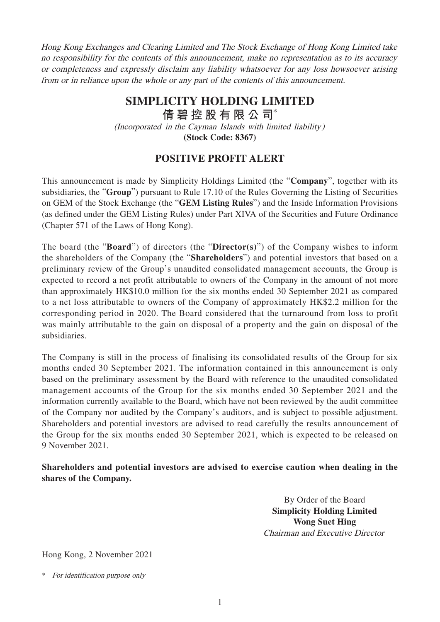Hong Kong Exchanges and Clearing Limited and The Stock Exchange of Hong Kong Limited take no responsibility for the contents of this announcement, make no representation as to its accuracy or completeness and expressly disclaim any liability whatsoever for any loss howsoever arising from or in reliance upon the whole or any part of the contents of this announcement.

## **SIMPLICITY HOLDING LIMITED**

**倩碧控股有限公 司**\*

(Incorporated in the Cayman Islands with limited liability)

**(Stock Code: 8367)**

## **POSITIVE PROFIT ALERT**

This announcement is made by Simplicity Holdings Limited (the "**Company**", together with its subsidiaries, the "**Group**") pursuant to Rule 17.10 of the Rules Governing the Listing of Securities on GEM of the Stock Exchange (the "**GEM Listing Rules**") and the Inside Information Provisions (as defined under the GEM Listing Rules) under Part XIVA of the Securities and Future Ordinance (Chapter 571 of the Laws of Hong Kong).

The board (the "**Board**") of directors (the "**Director(s)**") of the Company wishes to inform the shareholders of the Company (the "**Shareholders**") and potential investors that based on a preliminary review of the Group's unaudited consolidated management accounts, the Group is expected to record a net profit attributable to owners of the Company in the amount of not more than approximately HK\$10.0 million for the six months ended 30 September 2021 as compared to a net loss attributable to owners of the Company of approximately HK\$2.2 million for the corresponding period in 2020. The Board considered that the turnaround from loss to profit was mainly attributable to the gain on disposal of a property and the gain on disposal of the subsidiaries.

The Company is still in the process of finalising its consolidated results of the Group for six months ended 30 September 2021. The information contained in this announcement is only based on the preliminary assessment by the Board with reference to the unaudited consolidated management accounts of the Group for the six months ended 30 September 2021 and the information currently available to the Board, which have not been reviewed by the audit committee of the Company nor audited by the Company's auditors, and is subject to possible adjustment. Shareholders and potential investors are advised to read carefully the results announcement of the Group for the six months ended 30 September 2021, which is expected to be released on 9 November 2021.

**Shareholders and potential investors are advised to exercise caution when dealing in the shares of the Company.**

> By Order of the Board **Simplicity Holding Limited Wong Suet Hing** Chairman and Executive Director

Hong Kong, 2 November 2021

<sup>\*</sup> For identification purpose only